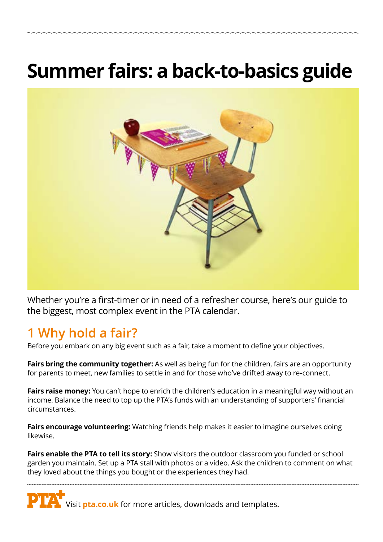# **Summer fairs: a back-to-basics guide**



Whether you're a first-timer or in need of a refresher course, here's our guide to the biggest, most complex event in the PTA calendar.

### **1 Why hold a fair?**

Before you embark on any big event such as a fair, take a moment to define your objectives.

**Fairs bring the community together:** As well as being fun for the children, fairs are an opportunity for parents to meet, new families to settle in and for those who've drifted away to re-connect.

**Fairs raise money:** You can't hope to enrich the children's education in a meaningful way without an income. Balance the need to top up the PTA's funds with an understanding of supporters' financial circumstances.

**Fairs encourage volunteering:** Watching friends help makes it easier to imagine ourselves doing likewise.

**Fairs enable the PTA to tell its story:** Show visitors the outdoor classroom you funded or school garden you maintain. Set up a PTA stall with photos or a video. Ask the children to comment on what they loved about the things you bought or the experiences they had.

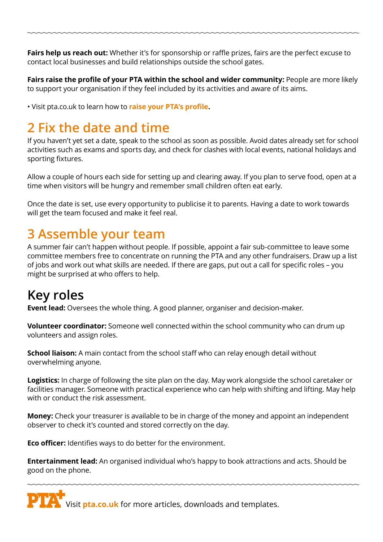Fairs help us reach out: Whether it's for sponsorship or raffle prizes, fairs are the perfect excuse to contact local businesses and build relationships outside the school gates.

**Fairs raise the profile of your PTA within the school and wider community:** People are more likely to support your organisation if they feel included by its activities and aware of its aims.

• Visit pta.co.uk to learn how to **[raise your PTA's profile](https://www.pta.co.uk/running-a-pta/managing-a-pta/raise-your-ptas-profile/).**

## **2 Fix the date and time**

If you haven't yet set a date, speak to the school as soon as possible. Avoid dates already set for school activities such as exams and sports day, and check for clashes with local events, national holidays and sporting fixtures.

Allow a couple of hours each side for setting up and clearing away. If you plan to serve food, open at a time when visitors will be hungry and remember small children often eat early.

Once the date is set, use every opportunity to publicise it to parents. Having a date to work towards will get the team focused and make it feel real.

#### **3 Assemble your team**

A summer fair can't happen without people. If possible, appoint a fair sub-committee to leave some committee members free to concentrate on running the PTA and any other fundraisers. Draw up a list of jobs and work out what skills are needed. If there are gaps, put out a call for specific roles – you might be surprised at who offers to help.

### **Key roles**

**Event lead:** Oversees the whole thing. A good planner, organiser and decision-maker.

**Volunteer coordinator:** Someone well connected within the school community who can drum up volunteers and assign roles.

**School liaison:** A main contact from the school staff who can relay enough detail without overwhelming anyone.

**Logistics:** In charge of following the site plan on the day. May work alongside the school caretaker or facilities manager. Someone with practical experience who can help with shifting and lifting. May help with or conduct the risk assessment.

**Money:** Check your treasurer is available to be in charge of the money and appoint an independent observer to check it's counted and stored correctly on the day.

**Eco officer:** Identifies ways to do better for the environment.

**Entertainment lead:** An organised individual who's happy to book attractions and acts. Should be good on the phone.

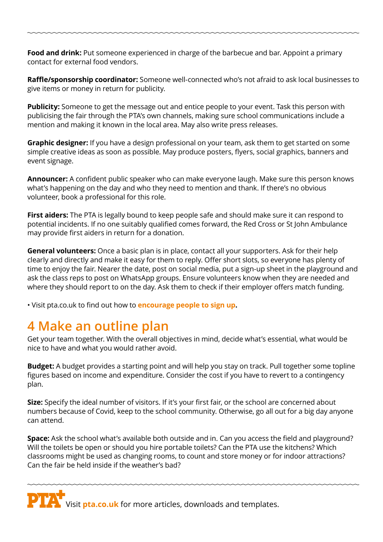**Food and drink:** Put someone experienced in charge of the barbecue and bar. Appoint a primary contact for external food vendors.

**Raffle/sponsorship coordinator:** Someone well-connected who's not afraid to ask local businesses to give items or money in return for publicity.

**Publicity:** Someone to get the message out and entice people to your event. Task this person with publicising the fair through the PTA's own channels, making sure school communications include a mention and making it known in the local area. May also write press releases.

**Graphic designer:** If you have a design professional on your team, ask them to get started on some simple creative ideas as soon as possible. May produce posters, flyers, social graphics, banners and event signage.

**Announcer:** A confident public speaker who can make everyone laugh. Make sure this person knows what's happening on the day and who they need to mention and thank. If there's no obvious volunteer, book a professional for this role.

**First aiders:** The PTA is legally bound to keep people safe and should make sure it can respond to potential incidents. If no one suitably qualified comes forward, the Red Cross or St John Ambulance may provide first aiders in return for a donation.

**General volunteers:** Once a basic plan is in place, contact all your supporters. Ask for their help clearly and directly and make it easy for them to reply. Offer short slots, so everyone has plenty of time to enjoy the fair. Nearer the date, post on social media, put a sign-up sheet in the playground and ask the class reps to post on WhatsApp groups. Ensure volunteers know when they are needed and where they should report to on the day. Ask them to check if their employer offers match funding.

• Visit pta.co.uk to find out how to **[encourage people to sign up](https://www.pta.co.uk/events/fairs/boosting-support-volunteers/).**

#### **4 Make an outline plan**

Get your team together. With the overall objectives in mind, decide what's essential, what would be nice to have and what you would rather avoid.

**Budget:** A budget provides a starting point and will help you stay on track. Pull together some topline figures based on income and expenditure. Consider the cost if you have to revert to a contingency plan.

**Size:** Specify the ideal number of visitors. If it's your first fair, or the school are concerned about numbers because of Covid, keep to the school community. Otherwise, go all out for a big day anyone can attend.

**Space:** Ask the school what's available both outside and in. Can you access the field and playground? Will the toilets be open or should you hire portable toilets? Can the PTA use the kitchens? Which classrooms might be used as changing rooms, to count and store money or for indoor attractions? Can the fair be held inside if the weather's bad?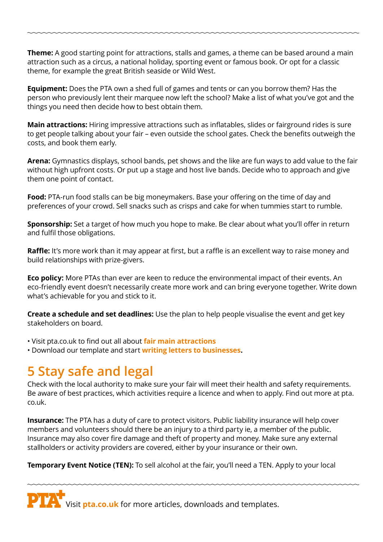**Theme:** A good starting point for attractions, stalls and games, a theme can be based around a main attraction such as a circus, a national holiday, sporting event or famous book. Or opt for a classic theme, for example the great British seaside or Wild West.

**Equipment:** Does the PTA own a shed full of games and tents or can you borrow them? Has the person who previously lent their marquee now left the school? Make a list of what you've got and the things you need then decide how to best obtain them.

**Main attractions:** Hiring impressive attractions such as inflatables, slides or fairground rides is sure to get people talking about your fair – even outside the school gates. Check the benefits outweigh the costs, and book them early.

**Arena:** Gymnastics displays, school bands, pet shows and the like are fun ways to add value to the fair without high upfront costs. Or put up a stage and host live bands. Decide who to approach and give them one point of contact.

**Food:** PTA-run food stalls can be big moneymakers. Base your offering on the time of day and preferences of your crowd. Sell snacks such as crisps and cake for when tummies start to rumble.

**Sponsorship:** Set a target of how much you hope to make. Be clear about what you'll offer in return and fulfil those obligations.

**Raffle:** It's more work than it may appear at first, but a raffle is an excellent way to raise money and build relationships with prize-givers.

**Eco policy:** More PTAs than ever are keen to reduce the environmental impact of their events. An eco-friendly event doesn't necessarily create more work and can bring everyone together. Write down what's achievable for you and stick to it.

**Create a schedule and set deadlines:** Use the plan to help people visualise the event and get key stakeholders on board.

• Visit pta.co.uk to find out all about **[fair main attractions](https://www.pta.co.uk/events/fairs/spring-and-summer-main-attractions/)**

• Download our template and start **[writing letters to businesses](https://www.pta.co.uk/running-a-pta/community-engagement/how-to-write-letters-to-businesses/).**

#### **5 Stay safe and legal**

Check with the local authority to make sure your fair will meet their health and safety requirements. Be aware of best practices, which activities require a licence and when to apply. Find out more at pta. co.uk.

**Insurance:** The PTA has a duty of care to protect visitors. Public liability insurance will help cover members and volunteers should there be an injury to a third party ie, a member of the public. Insurance may also cover fire damage and theft of property and money. Make sure any external stallholders or activity providers are covered, either by your insurance or their own.

**Temporary Event Notice (TEN):** To sell alcohol at the fair, you'll need a TEN. Apply to your local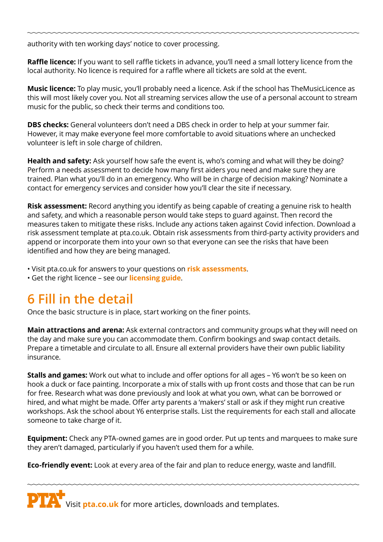authority with ten working days' notice to cover processing.

**Raffle licence:** If you want to sell raffle tickets in advance, you'll need a small lottery licence from the local authority. No licence is required for a raffle where all tickets are sold at the event.

**Music licence:** To play music, you'll probably need a licence. Ask if the school has TheMusicLicence as this will most likely cover you. Not all streaming services allow the use of a personal account to stream music for the public, so check their terms and conditions too.

**DBS checks:** General volunteers don't need a DBS check in order to help at your summer fair. However, it may make everyone feel more comfortable to avoid situations where an unchecked volunteer is left in sole charge of children.

**Health and safety:** Ask yourself how safe the event is, who's coming and what will they be doing? Perform a needs assessment to decide how many first aiders you need and make sure they are trained. Plan what you'll do in an emergency. Who will be in charge of decision making? Nominate a contact for emergency services and consider how you'll clear the site if necessary.

**Risk assessment:** Record anything you identify as being capable of creating a genuine risk to health and safety, and which a reasonable person would take steps to guard against. Then record the measures taken to mitigate these risks. Include any actions taken against Covid infection. Download a risk assessment template at pta.co.uk. Obtain risk assessments from third-party activity providers and append or incorporate them into your own so that everyone can see the risks that have been identified and how they are being managed.

• Visit pta.co.uk for answers to your questions on **[risk assessments](https://www.pta.co.uk/events/planning/faqs-risk-assessments-for-ptas/)**.

• Get the right licence – see our **[licensing guide](https://www.pta.co.uk/events/planning/licensing-guide-all-you-need-to-know/)**.

### **6 Fill in the detail**

Once the basic structure is in place, start working on the finer points.

**Main attractions and arena:** Ask external contractors and community groups what they will need on the day and make sure you can accommodate them. Confirm bookings and swap contact details. Prepare a timetable and circulate to all. Ensure all external providers have their own public liability insurance.

**Stalls and games:** Work out what to include and offer options for all ages – Y6 won't be so keen on hook a duck or face painting. Incorporate a mix of stalls with up front costs and those that can be run for free. Research what was done previously and look at what you own, what can be borrowed or hired, and what might be made. Offer arty parents a 'makers' stall or ask if they might run creative workshops. Ask the school about Y6 enterprise stalls. List the requirements for each stall and allocate someone to take charge of it.

**Equipment:** Check any PTA-owned games are in good order. Put up tents and marquees to make sure they aren't damaged, particularly if you haven't used them for a while.

**Eco-friendly event:** Look at every area of the fair and plan to reduce energy, waste and landfill.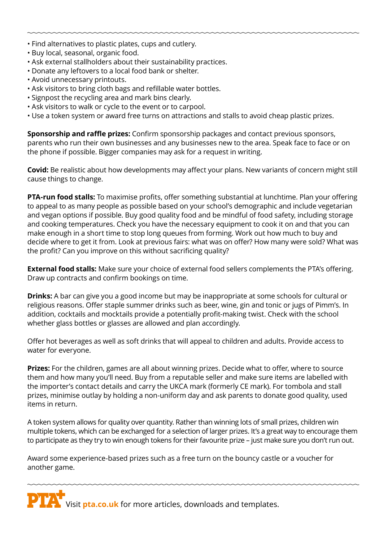- Find alternatives to plastic plates, cups and cutlery.
- Buy local, seasonal, organic food.
- Ask external stallholders about their sustainability practices.
- Donate any leftovers to a local food bank or shelter.
- Avoid unnecessary printouts.
- Ask visitors to bring cloth bags and refillable water bottles.
- Signpost the recycling area and mark bins clearly.
- Ask visitors to walk or cycle to the event or to carpool.
- Use a token system or award free turns on attractions and stalls to avoid cheap plastic prizes.

**Sponsorship and raffle prizes:** Confirm sponsorship packages and contact previous sponsors, parents who run their own businesses and any businesses new to the area. Speak face to face or on the phone if possible. Bigger companies may ask for a request in writing.

**Covid:** Be realistic about how developments may affect your plans. New variants of concern might still cause things to change.

**PTA-run food stalls:** To maximise profits, offer something substantial at lunchtime. Plan your offering to appeal to as many people as possible based on your school's demographic and include vegetarian and vegan options if possible. Buy good quality food and be mindful of food safety, including storage and cooking temperatures. Check you have the necessary equipment to cook it on and that you can make enough in a short time to stop long queues from forming. Work out how much to buy and decide where to get it from. Look at previous fairs: what was on offer? How many were sold? What was the profit? Can you improve on this without sacrificing quality?

**External food stalls:** Make sure your choice of external food sellers complements the PTA's offering. Draw up contracts and confirm bookings on time.

**Drinks:** A bar can give you a good income but may be inappropriate at some schools for cultural or religious reasons. Offer staple summer drinks such as beer, wine, gin and tonic or jugs of Pimm's. In addition, cocktails and mocktails provide a potentially profit-making twist. Check with the school whether glass bottles or glasses are allowed and plan accordingly.

Offer hot beverages as well as soft drinks that will appeal to children and adults. Provide access to water for everyone.

**Prizes:** For the children, games are all about winning prizes. Decide what to offer, where to source them and how many you'll need. Buy from a reputable seller and make sure items are labelled with the importer's contact details and carry the UKCA mark (formerly CE mark). For tombola and stall prizes, minimise outlay by holding a non-uniform day and ask parents to donate good quality, used items in return.

A token system allows for quality over quantity. Rather than winning lots of small prizes, children win multiple tokens, which can be exchanged for a selection of larger prizes. It's a great way to encourage them to participate as they try to win enough tokens for their favourite prize – just make sure you don't run out.

Award some experience-based prizes such as a free turn on the bouncy castle or a voucher for another game.

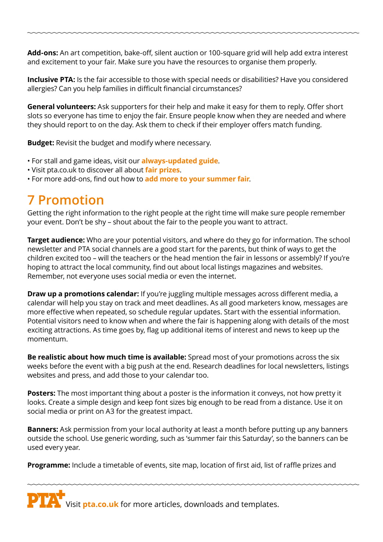**Add-ons:** An art competition, bake-off, silent auction or 100-square grid will help add extra interest and excitement to your fair. Make sure you have the resources to organise them properly.

**Inclusive PTA:** Is the fair accessible to those with special needs or disabilities? Have you considered allergies? Can you help families in difficult financial circumstances?

**General volunteers:** Ask supporters for their help and make it easy for them to reply. Offer short slots so everyone has time to enjoy the fair. Ensure people know when they are needed and where they should report to on the day. Ask them to check if their employer offers match funding.

**[B](https://www.pta.co.uk/events/planning/faqs-risk-assessments-for-ptas/)udget:** Revisit the budget and modify where necessary.

- For stall and game ideas, visit our **always-updated [guide](https://www.pta.co.uk/events/fairs/always-updated-guide-to-summer-fair-games-and-stalls/)**.
- Visit pta.co.uk to discover all about **[fair prizes](https://www.pta.co.uk/events/fairs/all-about-fair-prizes/)**.
- For more add-ons, find out how to **[add more to your summer fair](https://www.pta.co.uk/events/fairs/add-more-to-your-summer-fair/)**.

#### **7 Promotion**

Getting the right information to the right people at the right time will make sure people remember your event. Don't be shy – shout about the fair to the people you want to attract.

**Target audience:** Who are your potential visitors, and where do they go for information. The school newsletter and PTA social channels are a good start for the parents, but think of ways to get the children excited too – will the teachers or the head mention the fair in lessons or assembly? If you're hoping to attract the local community, find out about local listings magazines and websites. Remember, not everyone uses social media or even the internet.

**Draw up a promotions calendar:** If you're juggling multiple messages across different media, a calendar will help you stay on track and meet deadlines. As all good marketers know, messages are more effective when repeated, so schedule regular updates. Start with the essential information. Potential visitors need to know when and where the fair is happening along with details of the most exciting attractions. As time goes by, flag up additional items of interest and news to keep up the momentum.

**Be realistic about how much time is available:** Spread most of your promotions across the six weeks before the event with a big push at the end. Research deadlines for local newsletters, listings websites and press, and add those to your calendar too.

**Posters:** The most important thing about a poster is the information it conveys, not how pretty it looks. Create a simple design and keep font sizes big enough to be read from a distance. Use it on social media or print on A3 for the greatest impact.

**Banners:** Ask permission from your local authority at least a month before putting up any banners outside the school. Use generic wording, such as 'summer fair this Saturday', so the banners can be used every year.

**Programme:** Include a timetable of events, site map, location of first aid, list of raffle prizes and

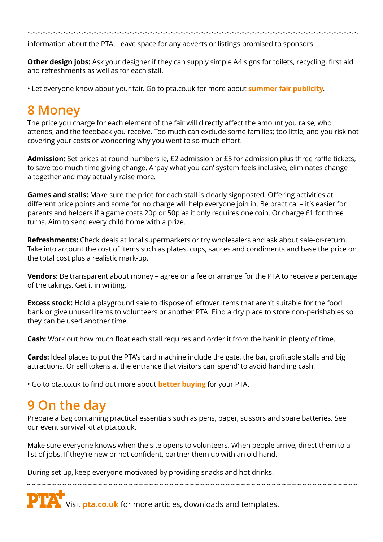information about the PTA. Leave space for any adverts or listings promised to sponsors.

**Other design jobs:** Ask your designer if they can supply simple A4 signs for toilets, recycling, first aid and refreshments as well as for each stall.

• Let everyone know about your fair. Go to pta.co.uk for more about **[summer fair publicity](https://www.pta.co.uk/events/fairs/summer-fair-publicity/)**.

# **8 Money**

The price you charge for each element of the fair will directly affect the amount you raise, who attends, and the feedback you receive. Too much can exclude some families; too little, and you risk not covering your costs or wondering why you went to so much effort.

**Admission:** Set prices at round numbers ie, £2 admission or £5 for admission plus three raffle tickets, to save too much time giving change. A 'pay what you can' system feels inclusive, eliminates change altogether and may actually raise more.

**Games and stalls:** Make sure the price for each stall is clearly signposted. Offering activities at different price points and some for no charge will help everyone join in. Be practical – it's easier for parents and helpers if a game costs 20p or 50p as it only requires one coin. Or charge £1 for three turns. Aim to send every child home with a prize.

**Refreshments:** Check deals at local supermarkets or try wholesalers and ask about sale-or-return. Take into account the cost of items such as plates, cups, sauces and condiments and base the price on the total cost plus a realistic mark-up.

**Vendors:** Be transparent about money – agree on a fee or arrange for the PTA to receive a percentage of the takings. Get it in writing.

**Excess stock:** Hold a playground sale to dispose of leftover items that aren't suitable for the food bank or give unused items to volunteers or another PTA. Find a dry place to store non-perishables so they can be used another time.

**Cash:** Work out how much float each stall requires and order it from the bank in plenty of time.

**Cards:** Ideal places to put the PTA's card machine include the gate, the bar, profitable stalls and big attractions. Or sell tokens at the entrance that visitors can 'spend' to avoid handling cash.

• Go to pta.co.uk to find out more about **[better buying](https://www.pta.co.uk/running-a-pta/managing-a-pta/better-pta-buying/)** for your PTA.

### **9 On the day**

Prepare a bag containing practical essentials such as pens, paper, scissors and spare batteries. See our event survival kit at pta.co.uk.

Make sure everyone knows when the site opens to volunteers. When people arrive, direct them to a list of jobs. If they're new or not confident, partner them up with an old hand.

During set-up, keep everyone motivated by providing snacks and hot drinks.

**PTA** Visit *[pta.co.uk](http://www.pta.co.uk)* for more articles, downloads and templates.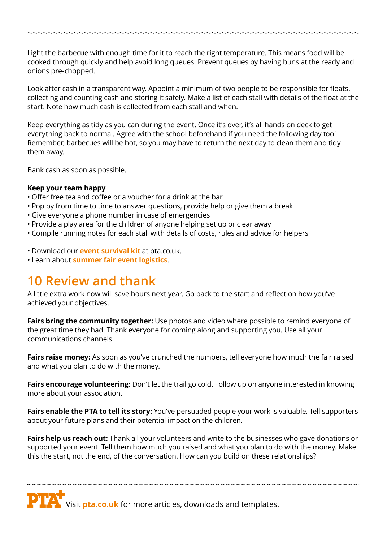Light the barbecue with enough time for it to reach the right temperature. This means food will be cooked through quickly and help avoid long queues. Prevent queues by having buns at the ready and onions pre-chopped.

Look after cash in a transparent way. Appoint a minimum of two people to be responsible for floats, collecting and counting cash and storing it safely. Make a list of each stall with details of the float at the start. Note how much cash is collected from each stall and when.

Keep everything as tidy as you can during the event. Once it's over, it's all hands on deck to get everything back to normal. Agree with the school beforehand if you need the following day too! Remember, barbecues will be hot, so you may have to return the next day to clean them and tidy them away.

Bank cash as soon as possible.

#### **Keep your team happy**

- Offer free tea and coffee or a voucher for a drink at the bar
- Pop by from time to time to answer questions, provide help or give them a break
- Give everyone a phone number in case of emergencies
- Provide a play area for the children of anyone helping set up or clear away
- Compile running notes for each stall with details of costs, rules and advice for helpers
- Download our **[event survival kit](https://www.pta.co.uk/events/planning/event-survival-kit/)** at pta.co.uk.
- Learn about **[summer fair event logistics](https://www.pta.co.uk/events/fairs/summer-fair-event-logistics/)**.

#### **10 Review and thank**

A little extra work now will save hours next year. Go back to the start and reflect on how you've achieved your objectives.

**Fairs bring the community together:** Use photos and video where possible to remind everyone of the great time they had. Thank everyone for coming along and supporting you. Use all your communications channels.

**Fairs raise money:** As soon as you've crunched the numbers, tell everyone how much the fair raised and what you plan to do with the money.

**Fairs encourage volunteering:** Don't let the trail go cold. Follow up on anyone interested in knowing more about your association.

**Fairs enable the PTA to tell its story:** You've persuaded people your work is valuable. Tell supporters about your future plans and their potential impact on the children.

**Fairs help us reach out:** Thank all your volunteers and write to the businesses who gave donations or supported your event. Tell them how much you raised and what you plan to do with the money. Make this the start, not the end, of the conversation. How can you build on these relationships?